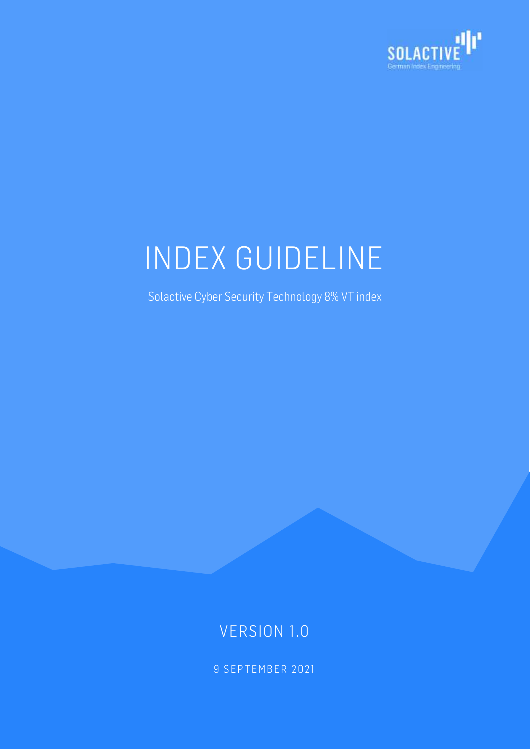

# INDEX GUIDELINE

Solactive Cyber Security Technology 8% VT index

# VERSION 1.0

9 SEPTEMBER 2021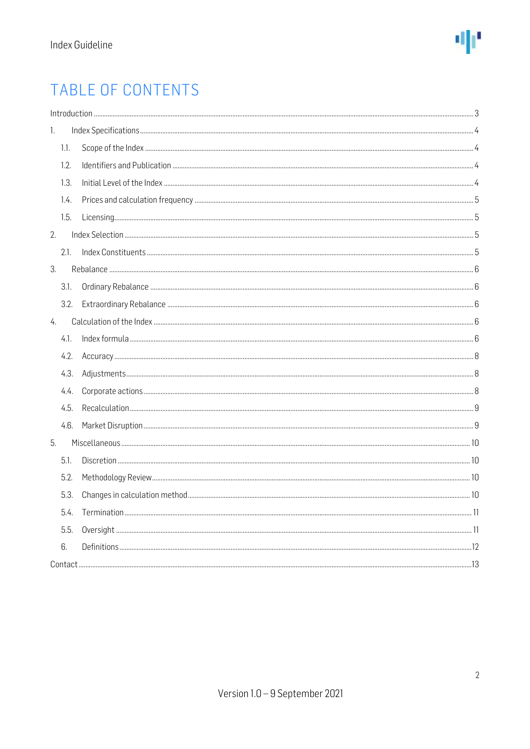

# TABLE OF CONTENTS

| 1. |      |  |
|----|------|--|
|    | 1.1. |  |
|    | 1.2. |  |
|    | 1.3. |  |
|    | 1.4. |  |
|    | 1.5. |  |
| 2. |      |  |
|    | 2.1. |  |
| 3. |      |  |
|    | 3.1. |  |
|    | 3.2. |  |
| 4. |      |  |
|    | 4.1. |  |
|    | 4.2. |  |
|    | 4.3. |  |
|    | 4.4. |  |
|    | 4.5. |  |
|    | 4.6. |  |
| 5. |      |  |
|    | 5.1. |  |
|    | 5.2. |  |
|    | 5.3. |  |
|    | 5.4. |  |
|    | 5.5. |  |
|    | 6.   |  |
|    |      |  |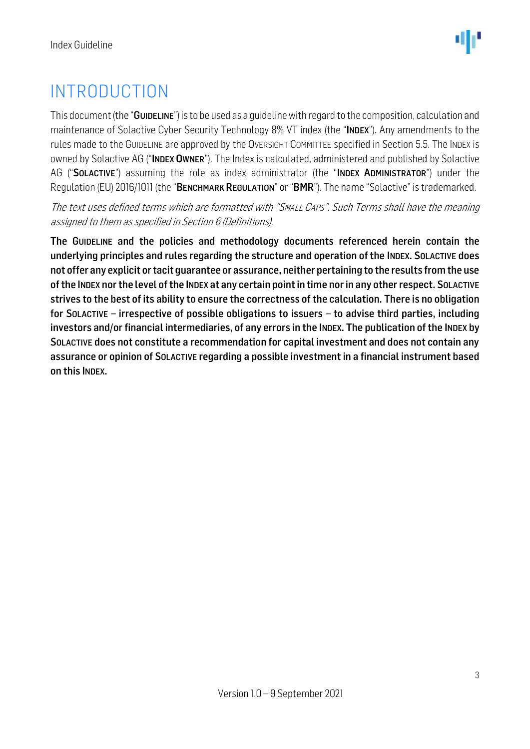# <span id="page-2-0"></span>INTRODUCTION

This document (the "GUIDELINE") is to be used as a guideline with regard to the composition, calculation and maintenance of Solactive Cyber Security Technology 8% VT index (the "INDEX"). Any amendments to the rules made to the GUIDELINE are approved by the OVERSIGHT COMMITTEE specified in Section 5.5. The INDEX is owned by Solactive AG ("INDEX OWNER"). The Index is calculated, administered and published by Solactive AG ("SOLACTIVE") assuming the role as index administrator (the "INDEX ADMINISTRATOR") under the Regulation (EU) 2016/1011 (the "BENCHMARK REGULATION" or "BMR"). The name "Solactive" is trademarked.

The text uses defined terms which are formatted with "SMALL CAPS". Such Terms shall have the meaning assigned to them as specified in Section 6 (Definitions).

The GUIDELINE and the policies and methodology documents referenced herein contain the underlying principles and rules regarding the structure and operation of the INDEX. SOLACTIVE does not offer any explicit or tacit guarantee or assurance, neither pertaining to the results from the use of the INDEX nor the level of the INDEX at any certain point in time nor in any other respect. SOLACTIVE strives to the best of its ability to ensure the correctness of the calculation. There is no obligation for SOLACTIVE – irrespective of possible obligations to issuers – to advise third parties, including investors and/or financial intermediaries, of any errors in the INDEX. The publication of the INDEX by SOLACTIVE does not constitute a recommendation for capital investment and does not contain any assurance or opinion of SOLACTIVE regarding a possible investment in a financial instrument based on this INDEX.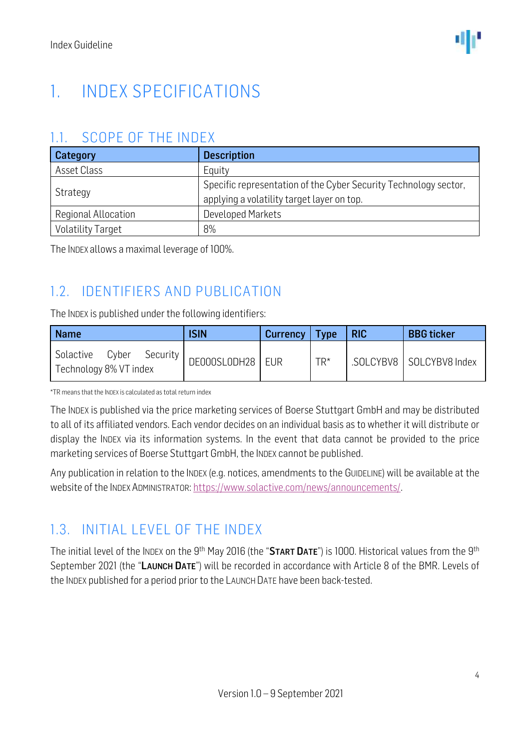# <span id="page-3-0"></span>1. INDEX SPECIFICATIONS

#### <span id="page-3-1"></span>1.1. SCOPE OF THE INDEX

| Category                 | <b>Description</b>                                                                                             |  |  |
|--------------------------|----------------------------------------------------------------------------------------------------------------|--|--|
| Asset Class              | Equity                                                                                                         |  |  |
| Strategy                 | Specific representation of the Cyber Security Technology sector,<br>applying a volatility target layer on top. |  |  |
| Regional Allocation      | Developed Markets                                                                                              |  |  |
| <b>Volatility Target</b> | 8%                                                                                                             |  |  |

The INDEX allows a maximal leverage of 100%.

# <span id="page-3-2"></span>1.2. IDENTIFIERS AND PUBLICATION

The INDEX is published under the following identifiers:

| <b>Name</b>                                           | <b>ISIN</b>        | Currency   Type |       | <b>RIC</b> | <b>BBG</b> ticker         |
|-------------------------------------------------------|--------------------|-----------------|-------|------------|---------------------------|
| Solactive<br>Cyber Security<br>Technology 8% VT index | DE000SL0DH28   EUR |                 | $TR*$ |            | SOLCYBV8   SOLCYBV8 Index |

\*TR means that the INDEX is calculated as total return index

The INDEX is published via the price marketing services of Boerse Stuttgart GmbH and may be distributed to all of its affiliated vendors. Each vendor decides on an individual basis as to whether it will distribute or display the INDEX via its information systems. In the event that data cannot be provided to the price marketing services of Boerse Stuttgart GmbH, the INDEX cannot be published.

Any publication in relation to the INDEX (e.g. notices, amendments to the GUIDELINE) will be available at the website of the INDEX ADMINISTRATOR[: https://www.solactive.com/news/announcements/.](https://www.solactive.com/news/announcements/)

# <span id="page-3-3"></span>1.3. INITIAL LEVEL OF THE INDEX

The initial level of the INDEX on the 9<sup>th</sup> May 2016 (the "START DATE") is 1000. Historical values from the 9<sup>th</sup> September 2021 (the "LAUNCH DATE") will be recorded in accordance with Article 8 of the BMR. Levels of the INDEX published for a period prior to the LAUNCH DATE have been back-tested.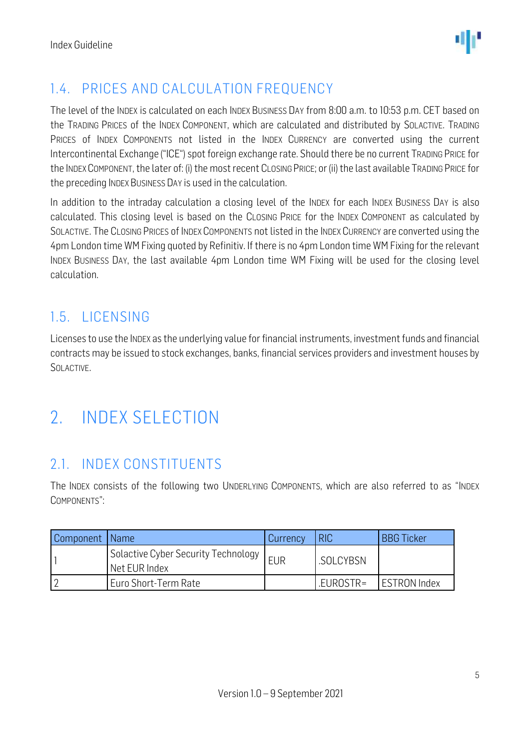

# <span id="page-4-0"></span>1.4. PRICES AND CALCULATION FREQUENCY

The level of the INDEX is calculated on each INDEX BUSINESS DAY from 8:00 a.m. to 10:53 p.m. CET based on the TRADING PRICES of the INDEX COMPONENT, which are calculated and distributed by SOLACTIVE. TRADING PRICES of INDEX COMPONENTS not listed in the INDEX CURRENCY are converted using the current Intercontinental Exchange ("ICE") spot foreign exchange rate. Should there be no current TRADING PRICE for the INDEXCOMPONENT, the later of: (i) the most recent CLOSING PRICE; or (ii) the last available TRADING PRICE for the preceding INDEX BUSINESS DAY is used in the calculation.

In addition to the intraday calculation a closing level of the INDEX for each INDEX BUSINESS DAY is also calculated. This closing level is based on the CLOSING PRICE for the INDEX COMPONENT as calculated by SOLACTIVE. The CLOSING PRICES of INDEX COMPONENTS not listed in the INDEX CURRENCY are converted using the 4pm London time WM Fixing quoted by Refinitiv. If there is no 4pm London time WM Fixing for the relevant INDEX BUSINESS DAY, the last available 4pm London time WM Fixing will be used for the closing level calculation.

# <span id="page-4-1"></span>1.5. LICENSING

Licenses to use the INDEX as the underlying value for financial instruments, investment funds and financial contracts may be issued to stock exchanges, banks, financial services providers and investment houses by SOLACTIVE.

# <span id="page-4-2"></span>2. INDEX SELECTION

### <span id="page-4-3"></span>2.1. INDEX CONSTITUENTS

The INDEX consists of the following two UNDERLYING COMPONENTS, which are also referred to as "INDEX COMPONENTS":

| Component   Name |                                                                   | Currency   | <b>RIC</b> | <b>BBG Ticker</b>   |
|------------------|-------------------------------------------------------------------|------------|------------|---------------------|
|                  | Solactive Cyber Security Technology <sub> </sub><br>Net EUR Index | <b>EUR</b> | .SOLCYBSN  |                     |
|                  | Euro Short-Term Rate                                              |            | .EUROSTR=  | <b>ESTRON Index</b> |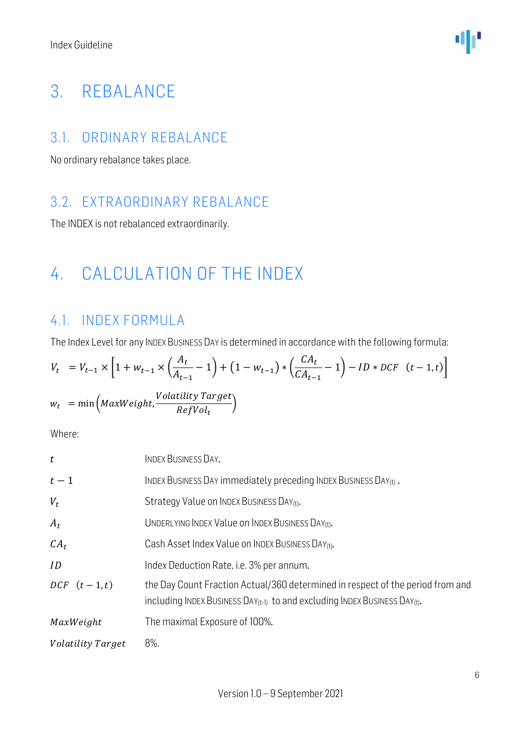# <span id="page-5-0"></span>3. REBALANCE

#### <span id="page-5-1"></span>3.1. ORDINARY REBALANCE

No ordinary rebalance takes place.

### <span id="page-5-2"></span>3.2. EXTRAORDINARY REBALANCE

The INDEX is not rebalanced extraordinarily.

# <span id="page-5-3"></span>4. CALCULATION OF THE INDEX

# <span id="page-5-4"></span>4.1. INDEX FORMULA

The Index Level for any INDEX BUSINESS DAY is determined in accordance with the following formula:

$$
V_t = V_{t-1} \times \left[1 + w_{t-1} \times \left(\frac{A_t}{A_{t-1}} - 1\right) + (1 - w_{t-1}) \times \left(\frac{CA_t}{CA_{t-1}} - 1\right) - ID \times DCF \quad (t - 1, t)\right]
$$
  

$$
w_t = \min\left(MaxWeight, \frac{Volatility\ Target}{RefVol_t}\right)
$$

Where:

| t                        | <b>INDEX BUSINESS DAY.</b>                                                                                                                                             |
|--------------------------|------------------------------------------------------------------------------------------------------------------------------------------------------------------------|
| $t-1$                    | INDEX BUSINESS DAY immediately preceding INDEX BUSINESS DAY(t).                                                                                                        |
| $V_t$                    | Strategy Value on INDEX BUSINESS DAY(t).                                                                                                                               |
| $A_t$                    | UNDERLYING INDEX Value on INDEX BUSINESS DAY(t).                                                                                                                       |
| $CA_t$                   | Cash Asset Index Value on INDEX BUSINESS DAY(t).                                                                                                                       |
| ID                       | Index Deduction Rate, i.e. 3% per annum.                                                                                                                               |
| $DCF$ $(t-1,t)$          | the Day Count Fraction Actual/360 determined in respect of the period from and<br>including INDEX BUSINESS $DAY_{(t-1)}$ to and excluding INDEX BUSINESS $DAY_{(t)}$ . |
| MaxWeight                | The maximal Exposure of 100%.                                                                                                                                          |
| <i>Volatility Target</i> | 8%.                                                                                                                                                                    |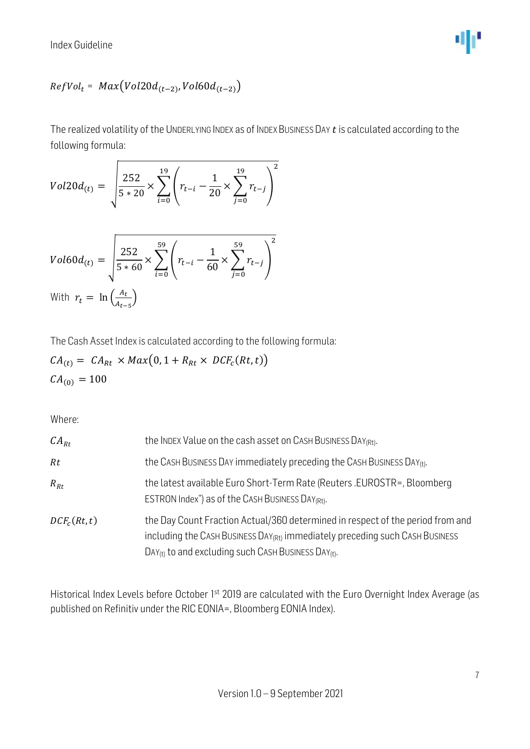Index Guideline



#### $\mathit{RefVol}_t = \mathit{Max}(\mathit{Vol20d}_{(t-2)}, \mathit{Vol60d}_{(t-2)})$

The realized volatility of the UNDERLYING INDEX as of INDEX BUSINESS DAY  $t$  is calculated according to the following formula:

$$
Vol20d_{(t)} = \sqrt{\frac{252}{5 * 20} \times \sum_{i=0}^{19} \left( r_{t-i} - \frac{1}{20} \times \sum_{j=0}^{19} r_{t-j} \right)^2}
$$

$$
Vol60d_{(t)} = \sqrt{\frac{252}{5*60} \times \sum_{i=0}^{59} \left( r_{t-i} - \frac{1}{60} \times \sum_{j=0}^{59} r_{t-j} \right)^2}
$$
  
With  $r_t = \ln \left( \frac{A_t}{A_{t-5}} \right)$ 

The Cash Asset Index is calculated according to the following formula:

$$
CA_{(t)} = CA_{Rt} \times Max(0, 1 + R_{Rt} \times DCF_c(Rt, t))
$$
  

$$
CA_{(0)} = 100
$$

Where:

| $CA_{Rt}$               | the INDEX Value on the cash asset on CASH BUSINESS DAY(Rt).                                                                                                                                                                                               |
|-------------------------|-----------------------------------------------------------------------------------------------------------------------------------------------------------------------------------------------------------------------------------------------------------|
| Rt                      | the CASH BUSINESS DAY immediately preceding the CASH BUSINESS DAY <sub>(t)</sub> .                                                                                                                                                                        |
| $R_{Rt}$                | the latest available Euro Short-Term Rate (Reuters .EUROSTR=, Bloomberg<br>ESTRON Index") as of the CASH BUSINESS DAY <sub>(Rt)</sub> .                                                                                                                   |
| DCF <sub>c</sub> (Rt,t) | the Day Count Fraction Actual/360 determined in respect of the period from and<br>including the CASH BUSINESS DAY <sub>(Rt)</sub> immediately preceding such CASH BUSINESS<br>DAY <sub>(t)</sub> to and excluding such CASH BUSINESS DAY <sub>(t)</sub> . |

Historical Index Levels before October 1<sup>st</sup> 2019 are calculated with the Euro Overnight Index Average (as published on Refinitiv under the RIC EONIA=, Bloomberg EONIA Index).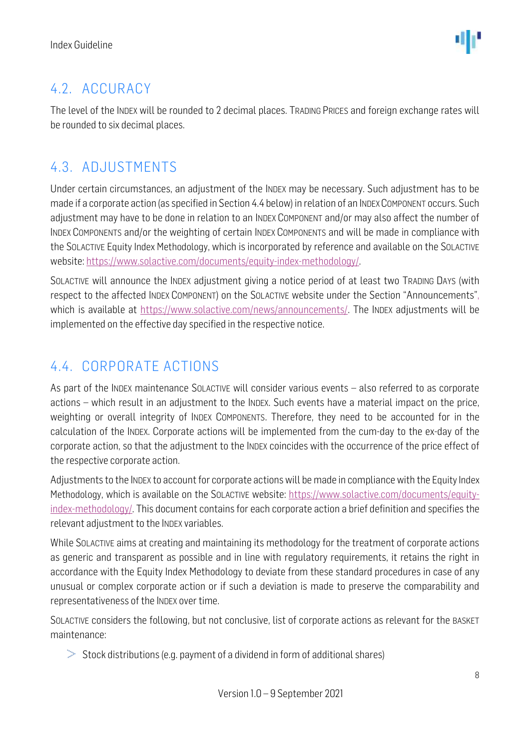# <span id="page-7-0"></span>4.2. ACCURACY

The level of the INDEX will be rounded to 2 decimal places. TRADING PRICES and foreign exchange rates will be rounded to six decimal places.

# <span id="page-7-1"></span>4.3. ADJUSTMENTS

Under certain circumstances, an adjustment of the INDEX may be necessary. Such adjustment has to be made if a corporate action (as specified in Section 4.4 below) in relation of an INDEXCOMPONENT occurs. Such adjustment may have to be done in relation to an INDEX COMPONENT and/or may also affect the number of INDEX COMPONENTS and/or the weighting of certain INDEX COMPONENTS and will be made in compliance with the SOLACTIVE Equity Index Methodology, which is incorporated by reference and available on the SOLACTIVE website: [https://www.solactive.com/documents/equity-index-methodology/.](https://www.solactive.com/documents/equity-index-methodology/)

SOLACTIVE will announce the INDEX adjustment giving a notice period of at least two TRADING DAYS (with respect to the affected INDEX COMPONENT) on the SOLACTIVE website under the Section "Announcements", which is available at [https://www.solactive.com/news/announcements/.](https://www.solactive.com/news/announcements/) The INDEX adjustments will be implemented on the effective day specified in the respective notice.

# <span id="page-7-2"></span>4.4. CORPORATE ACTIONS

As part of the INDEX maintenance SOLACTIVE will consider various events – also referred to as corporate actions – which result in an adjustment to the INDEX. Such events have a material impact on the price, weighting or overall integrity of INDEX COMPONENTS. Therefore, they need to be accounted for in the calculation of the INDEX. Corporate actions will be implemented from the cum-day to the ex-day of the corporate action, so that the adjustment to the INDEX coincides with the occurrence of the price effect of the respective corporate action.

Adjustments to the INDEX to account for corporate actions will be made in compliance with the Equity Index Methodology, which is available on the SOLACTIVE website: [https://www.solactive.com/documents/equity](https://www.solactive.com/documents/equity-index-methodology/)[index-methodology/.](https://www.solactive.com/documents/equity-index-methodology/) This document contains for each corporate action a brief definition and specifies the relevant adjustment to the INDEX variables.

While SOLACTIVE aims at creating and maintaining its methodology for the treatment of corporate actions as generic and transparent as possible and in line with regulatory requirements, it retains the right in accordance with the Equity Index Methodology to deviate from these standard procedures in case of any unusual or complex corporate action or if such a deviation is made to preserve the comparability and representativeness of the INDEX over time.

SOLACTIVE considers the following, but not conclusive, list of corporate actions as relevant for the BASKET maintenance:

 $>$  Stock distributions (e.g. payment of a dividend in form of additional shares)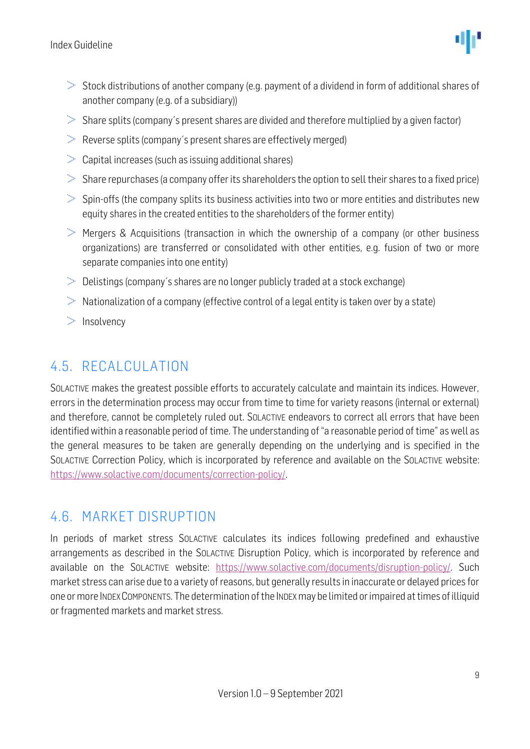

- $>$  Stock distributions of another company (e.g. payment of a dividend in form of additional shares of another company (e.g. of a subsidiary))
- $>$  Share splits (company's present shares are divided and therefore multiplied by a given factor)
- $\geq$  Reverse splits (company's present shares are effectively merged)
- $\geq$  Capital increases (such as issuing additional shares)
- $>$  Share repurchases (a company offer its shareholders the option to sell their shares to a fixed price)
- $>$  Spin-offs (the company splits its business activities into two or more entities and distributes new equity shares in the created entities to the shareholders of the former entity)
- $\geq$  Mergers & Acquisitions (transaction in which the ownership of a company (or other business organizations) are transferred or consolidated with other entities, e.g. fusion of two or more separate companies into one entity)
- $\geq 0$ elistings (company's shares are no longer publicly traded at a stock exchange)
- $>$  Nationalization of a company (effective control of a legal entity is taken over by a state)
- $\geq$  Insolvency

### <span id="page-8-0"></span>4.5. RECALCULATION

SOLACTIVE makes the greatest possible efforts to accurately calculate and maintain its indices. However, errors in the determination process may occur from time to time for variety reasons (internal or external) and therefore, cannot be completely ruled out. SOLACTIVE endeavors to correct all errors that have been identified within a reasonable period of time. The understanding of "a reasonable period of time" as well as the general measures to be taken are generally depending on the underlying and is specified in the SOLACTIVE Correction Policy, which is incorporated by reference and available on the SOLACTIVE website: [https://www.solactive.com/documents/correction-policy/.](https://www.solactive.com/documents/correction-policy/)

#### <span id="page-8-1"></span>4.6. MARKET DISRUPTION

In periods of market stress SOLACTIVE calculates its indices following predefined and exhaustive arrangements as described in the SOLACTIVE Disruption Policy, which is incorporated by reference and available on the SOLACTIVE website: [https://www.solactive.com/documents/disruption-policy/.](https://www.solactive.com/documents/disruption-policy/) Such market stress can arise due to a variety of reasons, but generally results in inaccurate or delayed prices for one or more INDEXCOMPONENTS. The determination of the INDEXmay be limited or impaired at times of illiquid or fragmented markets and market stress.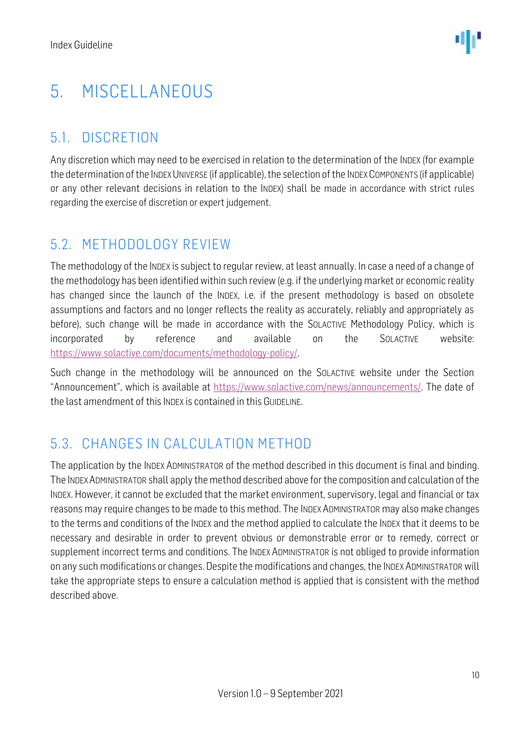# <span id="page-9-0"></span>5. MISCELLANEOUS

### <span id="page-9-1"></span>5.1. DISCRETION

Any discretion which may need to be exercised in relation to the determination of the INDEX (for example the determination of the INDEX UNIVERSE (if applicable), the selection of the INDEX COMPONENTS (if applicable) or any other relevant decisions in relation to the INDEX) shall be made in accordance with strict rules regarding the exercise of discretion or expert judgement.

### <span id="page-9-2"></span>5.2. METHODOLOGY REVIEW

The methodology of the INDEX is subject to regular review, at least annually. In case a need of a change of the methodology has been identified within such review (e.g. if the underlying market or economic reality has changed since the launch of the INDEX, i.e. if the present methodology is based on obsolete assumptions and factors and no longer reflects the reality as accurately, reliably and appropriately as before), such change will be made in accordance with the SOLACTIVE Methodology Policy, which is incorporated by reference and available on the SOLACTIVE website: [https://www.solactive.com/documents/methodology-policy/.](https://www.solactive.com/documents/methodology-policy/)

Such change in the methodology will be announced on the SOLACTIVE website under the Section "Announcement", which is available at [https://www.solactive.com/news/announcements/.](https://www.solactive.com/news/announcements/) The date of the last amendment of this INDEX is contained in this GUIDELINE.

# <span id="page-9-3"></span>5.3. CHANGES IN CALCULATION METHOD

The application by the INDEX ADMINISTRATOR of the method described in this document is final and binding. The INDEXADMINISTRATOR shall apply the method described above for the composition and calculation of the INDEX. However, it cannot be excluded that the market environment, supervisory, legal and financial or tax reasons may require changes to be made to this method. The INDEX ADMINISTRATOR may also make changes to the terms and conditions of the INDEX and the method applied to calculate the INDEX that it deems to be necessary and desirable in order to prevent obvious or demonstrable error or to remedy, correct or supplement incorrect terms and conditions. The INDEX ADMINISTRATOR is not obliged to provide information on any such modifications or changes. Despite the modifications and changes, the INDEX ADMINISTRATOR will take the appropriate steps to ensure a calculation method is applied that is consistent with the method described above.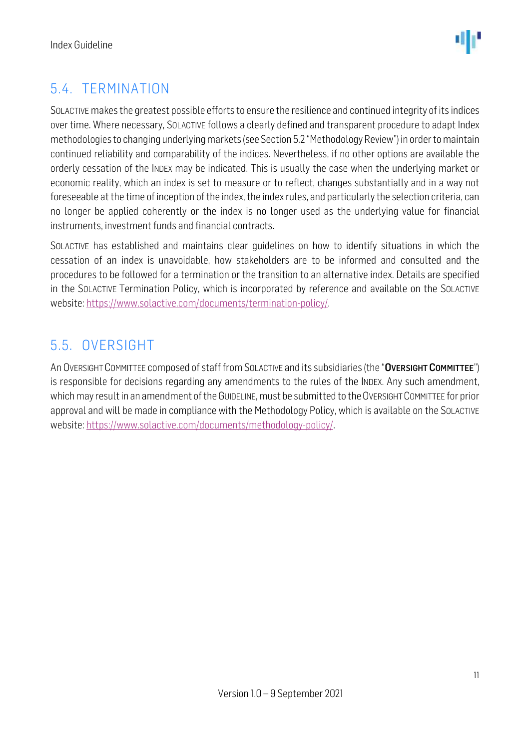

# <span id="page-10-0"></span>5.4. TERMINATION

SOLACTIVE makes the greatest possible efforts to ensure the resilience and continued integrity of its indices over time. Where necessary, SOLACTIVE follows a clearly defined and transparent procedure to adapt Index methodologies to changing underlying markets (see Section 5.2 "Methodology Review") in order to maintain continued reliability and comparability of the indices. Nevertheless, if no other options are available the orderly cessation of the INDEX may be indicated. This is usually the case when the underlying market or economic reality, which an index is set to measure or to reflect, changes substantially and in a way not foreseeable at the time of inception of the index, the index rules, and particularly the selection criteria, can no longer be applied coherently or the index is no longer used as the underlying value for financial instruments, investment funds and financial contracts.

SOLACTIVE has established and maintains clear guidelines on how to identify situations in which the cessation of an index is unavoidable, how stakeholders are to be informed and consulted and the procedures to be followed for a termination or the transition to an alternative index. Details are specified in the SOLACTIVE Termination Policy, which is incorporated by reference and available on the SOLACTIVE website: [https://www.solactive.com/documents/termination-policy/.](https://www.solactive.com/documents/termination-policy/)

### <span id="page-10-1"></span>5.5. OVERSIGHT

An OVERSIGHT COMMITTEE composed of staff from SOLACTIVE and its subsidiaries (the "OVERSIGHT COMMITTEE") is responsible for decisions regarding any amendments to the rules of the INDEX. Any such amendment, which may result in an amendment of the GUIDELINE, must be submitted to the OVERSIGHT COMMITTEE for prior approval and will be made in compliance with the [Methodology](http://methodology/) Policy, which is available on the SOLACTIVE website: [https://www.solactive.com/documents/methodology-policy/.](https://www.solactive.com/documents/methodology-policy/)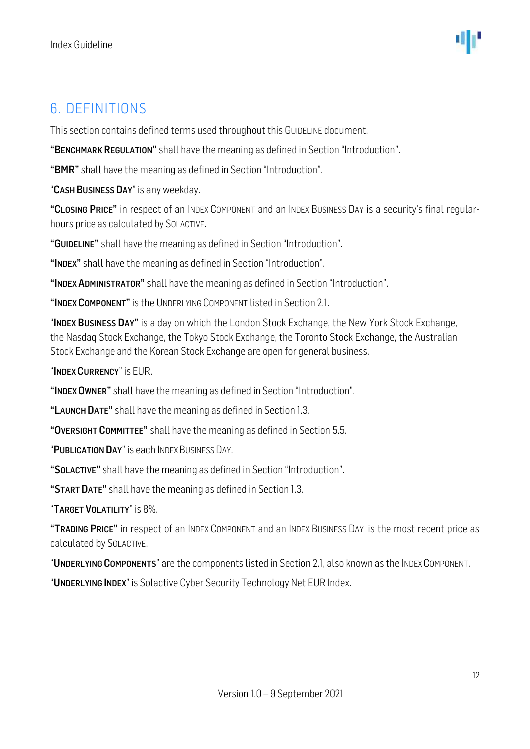### <span id="page-11-0"></span>6. DEFINITIONS

This section contains defined terms used throughout this GUIDELINE document.

"BENCHMARK REGULATION" shall have the meaning as defined in Section "Introduction".

"BMR" shall have the meaning as defined in Section "Introduction".

"CASH BUSINESS DAY" is any weekday.

"CLOSING PRICE" in respect of an INDEX COMPONENT and an INDEX BUSINESS DAY is a security's final regularhours price as calculated by SOLACTIVE.

"GUIDELINE" shall have the meaning as defined in Section "Introduction".

"INDEX" shall have the meaning as defined in Section "Introduction".

"INDEX ADMINISTRATOR" shall have the meaning as defined in Section "Introduction".

"INDEX COMPONENT" is the UNDERLYING COMPONENT listed in Section 2.1

"INDEX BUSINESS DAY" is a day on which the London Stock Exchange, the New York Stock Exchange, the Nasdaq Stock Exchange, the Tokyo Stock Exchange, the Toronto Stock Exchange, the Australian Stock Exchange and the Korean Stock Exchange are open for general business.

"INDEX CURRENCY" is EUR.

"INDEX OWNER" shall have the meaning as defined in Section "Introduction".

"LAUNCH DATE" shall have the meaning as defined in Section 1.3.

"OVERSIGHT COMMITTEE" shall have the meaning as defined in Section 5.5.

"PUBLICATION DAY" is each INDEX BUSINESS DAY.

"SOLACTIVE" shall have the meaning as defined in Section "Introduction".

"START DATE" shall have the meaning as defined in Section 1.3.

"TARGET VOLATILITY" is 8%.

"TRADING PRICE" in respect of an INDEX COMPONENT and an INDEX BUSINESS DAY is the most recent price as calculated by SOLACTIVE.

"UNDERLYING COMPONENTS" are the components listed in Section 2.1, also known as the INDEX COMPONENT.

"UNDERLYING INDEX" is Solactive Cyber Security Technology Net EUR Index.